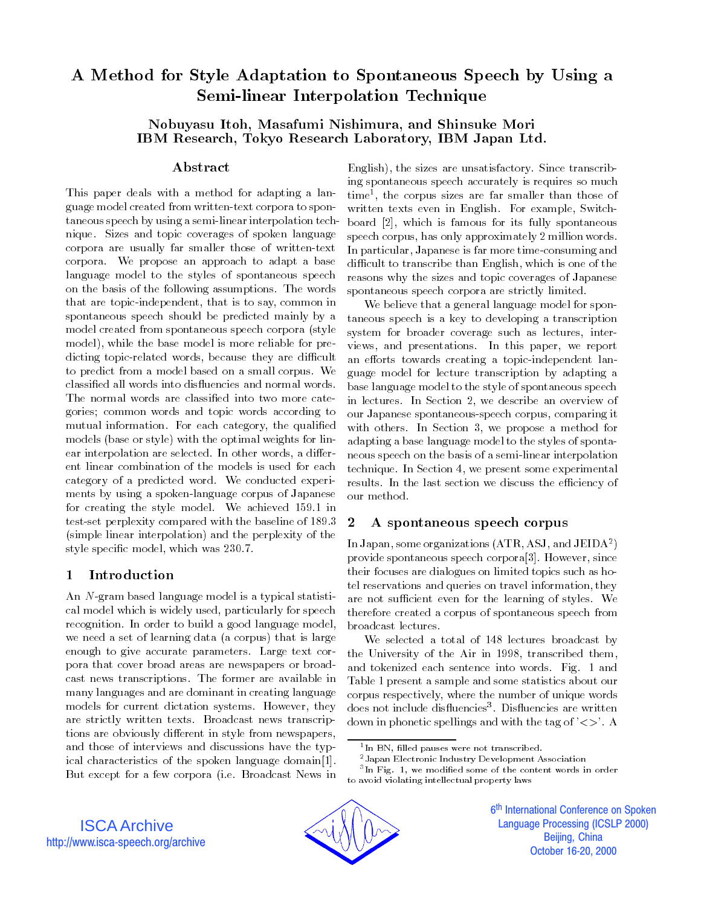# A Method for Style Adaptation to Spontaneous Speech by Using a Semi-linear Interpolation Technique

## Nobuyasu Itoh, Masafumi Nishimura, and Shinsuke Mori IBM Research, Tokyo Research Laboratory, IBM Japan Ltd.

### Abstract

This paper deals with a method for adapting a language model created from written-text corpora to spontaneous speech by using a semi-linear interpolation technique. Sizes and topic coverages of spoken language corpora are usually far smaller those of written-text corpora. We propose an approach to adapt a base language model to the styles of spontaneous speech on the basis of the following assumptions. The words that are topic-independent, that is to say, common in spontaneous speech should be predicted mainly by a model created from spontaneous speech corpora (style model), while the base model is more reliable for predicting topic-related words, because they are difficult to predict from a model based on a small corpus. We classified all words into disfluencies and normal words. The normal words are classied into two more categories; common words and topic words according to mutual information. For each category, the qualified models (base or style) with the optimal weights for linear interpolation are selected. In other words, a different linear combination of the models is used for each category of a predicted word. We conducted experi ments by using a spoken-language corpus of Japanese our method. for creating the style model. We achieved 159.1 in test-set perplexity compared with the baseline of 189.3 2 (simple linear interpolation) and the perplexity of the style specic model, which was 230.7.

#### $\mathbf{1}$ Introduction

An N-gram based language model is a typical statistical model which is widely used, particularly for speech recognition. In order to build a good language model, we need a set of learning data (a corpus) that is large enough to give accurate parameters. Large text corpora that cover broad areas are newspapers or broadcast news transcriptions. The former are available in many languages and are dominant in creating language models for current dictation systems. However, they are strictly written texts. Broadcast news transcriptions are obviously different in style from newspapers, and those of interviews and discussions have the typical characteristics of the spoken language domain[1]. But except for a few corpora (i.e. Broadcast News in

English), the sizes are unsatisfactory. Since transcribing spontaneous speech accurately is requires so much time", the corpus sizes are far smaller than those of written texts even in English. For example, Switchboard [2], which is famous for its fully spontaneous speech corpus, has only approximately 2 million words. In particular, Japanese is far more time-consuming and difficult to transcribe than English, which is one of the reasons why the sizes and topic coverages of Japanese spontaneous speech corpora are strictly limited.

We believe that a general language model for spontaneous speech is a key to developing a transcription system for broader coverage such as lectures, interviews, and presentations. In this paper, we report an efforts towards creating a topic-independent language model for lecture transcription by adapting a base language model to the style of spontaneous speech in lectures. In Section 2, we describe an overview of our Japanese spontaneous-speech corpus, comparing it with others. In Section 3, we propose a method for adapting a base language model to the styles of spontaneous speech on the basis of a semi-linear interpolation technique. In Section 4, we present some experimental results. In the last section we discuss the efficiency of

## 2 A spontaneous speech corpus

In Japan, some organizations  $(ATR, ASJ, and JEIDA<sup>2</sup>)$  $\blacksquare$ provide spontaneous speech corpora[3]. However, since their focuses are dialogues on limited topics such as hotel reservations and queries on travel information, they are not sufficient even for the learning of styles. We therefore created a corpus of spontaneous speech from

We selected a total of 148 lectures broadcast by the University of the Air in 1998, transcribed them, and tokenized each sentence into words. Fig. 1 and Table 1 present a sample and some statistics about our corpus respectively, where the number of unique words does not include disnuencies". Disnuencies are written down in phonetic spellings and with the tag of  $\leq$  >'. A

<sup>3</sup> In Fig. 1, we modied some of the content words in order to avoid violating intellectual property laws



<sup>1</sup> In BN, lled pauses were not transcribed.

<sup>2</sup>Japan Electronic Industry Development Association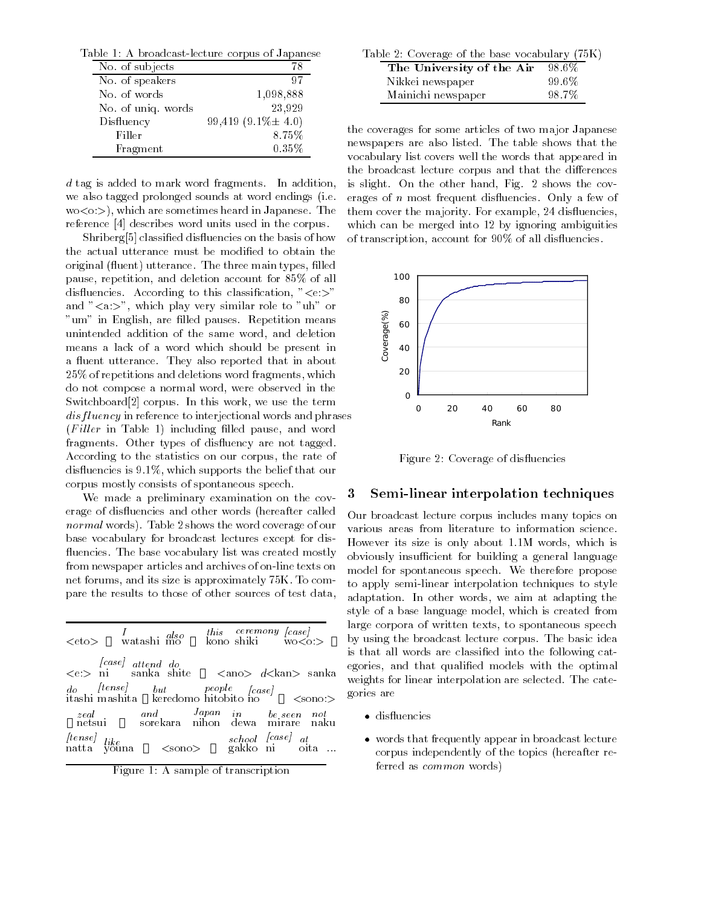Table 1: A broadcast-lecture corpus of Japanese Table 1: A broadcast-lecture corpus of Japanese

| No. of subjects    | 78                       |
|--------------------|--------------------------|
| No. of speakers    | 97                       |
| No. of words       | 1,098,888                |
| No. of uniq. words | 23,929                   |
| Disfluency         | 99,419 $(9.1\% \pm 4.0)$ |
| Filler             | 8.75%                    |
| Fragment           | 0.35%                    |

d tag is added to mark word fragments. In addition, we also tagged prolonged sounds at word endings (i.e.  $w \in \{ \infty, \infty \}$ , which are sometimes heard in Japanese. The reference [4] describes word units used in the corpus.

Shriberg<sup>[5]</sup> classified disfluencies on the basis of how the actual utterance must be modified to obtain the original (fluent) utterance. The three main types, filled pause, repetition, and deletion account for 85% of all disfluencies. According to this classification, " $\lt e$ :>" and " $\langle a: \rangle$ ", which play very similar role to "uh" or "um" in English, are filled pauses. Repetition means unintended addition of the same word, and deletion means a lack of a word which should be present in a fluent utterance. They also reported that in about 25% of repetitions and deletions word fragments, which do not compose a normal word, were observed in the Switchboard[2] corpus. In this work, we use the term disf luency in reference to interjectional words and phrases  $(Filler$  in Table 1) including filled pause, and word fragments. Other types of disfluency are not tagged. According to the statistics on our corpus, the rate of dis
uencies is 9.1%, which supports the belief that our corpus mostly consists of spontaneous speech.

We made a preliminary examination on the coverage of dis
uencies and other words (hereafter called normal words). Table 2 shows the word coverage of our base vocabulary for broadcast lectures except for dis fluencies. The base vocabulary list was created mostly from newspaper articles and archives of on-line texts on net forums, and its size is approximately 75K. To compare the results to those of other sources of test data,

| $\langle etc\rangle$ $I$ $_{also}$ $_{also}$ $_{also}$ $_{kono}$ $_{shiki}$ $_{wo< o.>}$                                                                                                                                                                                                                                                                                                                                                                                |  |  |
|-------------------------------------------------------------------------------------------------------------------------------------------------------------------------------------------------------------------------------------------------------------------------------------------------------------------------------------------------------------------------------------------------------------------------------------------------------------------------|--|--|
| $<\!\!\mathrm{e}{:}\!\!> \begin{array}{ccc} \mathit{[case]} & \mathit{attend} & \mathit{do} \\ \mathit{<}\!\!\mathrm{e}{:}\!\!> & \mathit{ni} & \mathit{sanka} & \mathit{shift} \\ \end{array} \hspace{0.2cm} \begin{array}{ccc} & \mathit{d} & \mathit{can} & \mathit{d} & \mathit{d} \\ \mathit{can} & \mathit{d} & \mathit{d} & \mathit{an}\!\!> \end{array} \hspace{0.2cm} \begin{array}{ccc} & \mathit{anka} & \mathit{a} \\ \mathit{a} & \mathit{a} & \mathit{a}$ |  |  |
|                                                                                                                                                                                                                                                                                                                                                                                                                                                                         |  |  |
| zeal and Japan in be-seen not<br>netsui – sorekara nihon dewa mirare naku                                                                                                                                                                                                                                                                                                                                                                                               |  |  |
| (tense)<br>ike<br>natta youna <sono> school (case) <br/> atta :</sono>                                                                                                                                                                                                                                                                                                                                                                                                  |  |  |
| $\mathbf{E}$ and $\mathbf{E}$ and $\mathbf{E}$ are the set of $\mathbf{E}$ and $\mathbf{E}$ are the set of $\mathbf{E}$                                                                                                                                                                                                                                                                                                                                                 |  |  |

| Figure 1: A sample of transcription |  |
|-------------------------------------|--|
|-------------------------------------|--|

| Table 2: Coverage of the base vocabulary (75K) |        |  |  |  |  |
|------------------------------------------------|--------|--|--|--|--|
| The University of the Air                      | -98.6% |  |  |  |  |
| Nikkei newspaper                               | 99.6%  |  |  |  |  |
| Mainichi newspaper                             | 98.7%  |  |  |  |  |

the coverages for some articles of two major Japanese newspapers are also listed. The table shows that the vocabulary list covers well the words that appeared in the broadcast lecture corpus and that the differences is slight. On the other hand, Fig. 2 shows the coverages of  $n$  most frequent disfluencies. Only a few of them cover the majority. For example, 24 disfluencies, which can be merged into 12 by ignoring ambiguities of transcription, account for 90% of all disfluencies.



Figure 2: Coverage of dis
uencies

### 3 Semi-linear interpolation techniques

Our broadcast lecture corpus includes many topics on various areas from literature to information science. However its size is only about 1.1M words, which is obviously insufficient for building a general language model for spontaneous speech. We therefore propose to apply semi-linear interpolation techniques to style adaptation. In other words, we aim at adapting the style of a base language model, which is created from large corpora of written texts, to spontaneous speech by using the broadcast lecture corpus. The basic idea is that all words are classied into the following categories, and that qualied models with the optimal weights for linear interpolation are selected. The categories are

- disfluencies
- words that frequently appear in broadcast lecture corpus independently of the topics (hereafter referred as common words)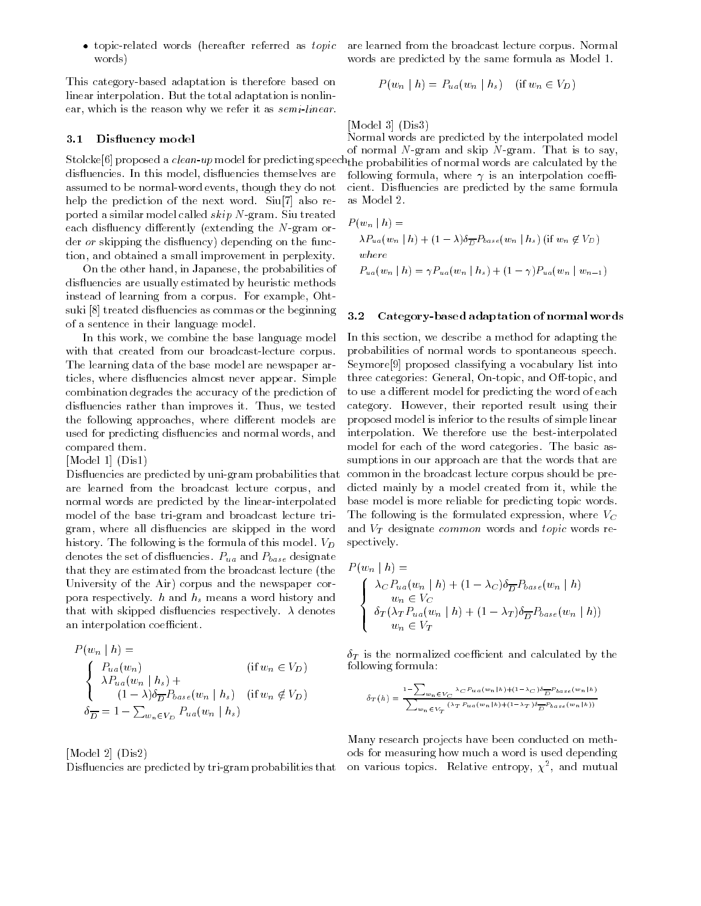topic-related words (hereafter referred as topic words) words) when the contract of the contract of the contract of the contract of the contract of the contract of the

This category-based adaptation is therefore based on linear interpolation. But the total adaptation is nonlinear, which is the reason why we refer it as semi-linear.

### 3.1 Disfluency model

disfluencies. In this model, disfluencies themselves are assumed to be normal-word events, though they do not help the prediction of the next word. Siu[7] also reported a similar model called *skip* N-gram. Siu treated<br>
such dietures of differently (suturation the M gram on  $F$ each disfluency differently (extending the  $N$ -gram order *or* skipping the disfluency) depending on the function, and obtained a small improvement in perplexity.

On the other hand, in Japanese, the probabilities of dis
uencies are usually estimated by heuristic methods instead of learning from a corpus. For example, Ohtsuki [8] treated disfluencies as commas or the beginning  $3.2$ of a sentence in their language model.

In this work, we combine the base language model with that created from our broadcast-lecture corpus. The learning data of the base model are newspaper articles, where disfluencies almost never appear. Simple combination degrades the accuracy of the prediction of dis
uencies rather than improves it. Thus, we tested the following approaches, where different models are used for predicting disfluencies and normal words, and compared them.

#### [Model 1] (Dis1)

Disfluencies are predicted by uni-gram probabilities that are learned from the broadcast lecture corpus, and normal words are predicted by the linear-interpolated model of the base tri-gram and broadcast lecture trigram, where all disfluencies are skipped in the word history. The following is the formula of this model.  $V_D$ denotes the set of disfluencies.  $P_{ua}$  and  $P_{base}$  designate that they are estimated from the broadcast lecture (the University of the Air) corpus and the newspaper corpora respectively.  $h$  and  $h_s$  means a word history and that with skipped disfluencies respectively.  $\lambda$  denotes an interpolation coefficient.

$$
P(w_n | h) =
$$
  
\n
$$
\begin{cases}\nP_{ua}(w_n) & (\text{if } w_n \in V_D) \\
\lambda P_{ua}(w_n | h_s) + \\
(1 - \lambda)\delta_{\overline{D}} P_{base}(w_n | h_s) & (\text{if } w_n \notin V_D) \\
\delta_{\overline{D}} = 1 - \sum_{w_n \in V_D} P_{ua}(w_n | h_s)\n\end{cases}
$$

[Model 2] (Dis2) Dis
uencies are predicted by tri-gram probabilities that are learned from the broadcast lecture corpus. Normal words are predicted by the same formula as Model 1.

$$
P(w_n | h) = P_{ua}(w_n | h_s) \quad (\text{if } w_n \in V_D)
$$

[Model 3] (Dis3)

Stolcke[6] proposed a clean-up model for predicting speech the probabilities of normal words are calculated by the Normal words are predicted by the interpolated model of normal  $N$ -gram and skip  $N$ -gram. That is to say, following formula, where  $\gamma$  is an interpolation coefficient. Dis
uencies are predicted by the same formula as Model 2.

$$
P(w_n | h) =
$$
  
\n
$$
\lambda P_{ua}(w_n | h) + (1 - \lambda)\delta_{\overline{D}}P_{base}(w_n | h_s) \text{ (if } w_n \notin V_D)
$$
  
\nwhere  
\n
$$
P_{ua}(w_n | h) = \gamma P_{ua}(w_n | h_s) + (1 - \gamma)P_{ua}(w_n | w_{n-1})
$$

#### Category-based adaptation of normal words

In this section, we describe a method for adapting the probabilities of normal words to spontaneous speech. Seymore[9] proposed classifying a vocabulary list into three categories: General, On-topic, and Off-topic, and to use a different model for predicting the word of each category. However, their reported result using their proposed model is inferior to the results of simple linear interpolation. We therefore use the best-interpolated model for each of the word categories. The basic assumptions in our approach are that the words that are common in the broadcast lecture corpus should be predicted mainly by a model created from it, while the base model is more reliable for predicting topic words. The following is the formulated expression, where  $V_C$ and  $V_T$  designate common words and topic words respectively.

$$
P(w_n | h) =
$$
  
\n
$$
\begin{cases}\n\lambda_C P_{ua}(w_n | h) + (1 - \lambda_C) \delta_{\overline{D}} P_{base}(w_n | h) \\
w_n \in V_C \\
\delta_T (\lambda_T P_{ua}(w_n | h) + (1 - \lambda_T) \delta_{\overline{D}} P_{base}(w_n | h)) \\
w_n \in V_T\n\end{cases}
$$

 $\delta_T$  is the normalized coefficient and calculated by the following formula:

$$
\delta_T(h) = \frac{\displaystyle 1\text{-}\sum_{w_n \in V_C} \frac{\lambda_C \, P_{u a} \left(w_n \left|h\right.\right) + \left(1-\lambda_C\right) \delta_{\overline{D}} P_{b \, a \, s \, e} \left(w_n \left|h\right.\right)}{\displaystyle \sum_{w_n \in V_T} \left(\lambda_T \, P_{u \, a} \left(w_n \left|h\right.\right) + \left(1-\lambda_T\right) \delta_{\overline{D}} P_{b \, a \, s \, e} \left(w_n \left|h\right.\right)\right)}}
$$

Many research projects have been conducted on methods for measuring how much a word is used depending on various topics. Relative entropy,  $\chi^+$ , and mutual